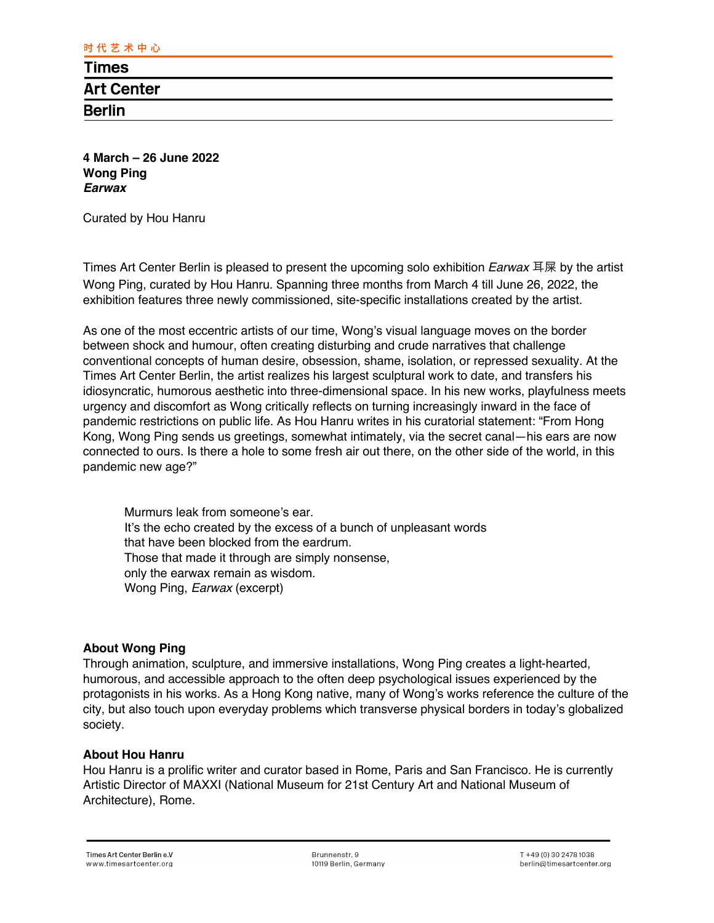**4 March – 26 June 2022 Wong Ping** *Earwax*

Curated by Hou Hanru

Times Art Center Berlin is pleased to present the upcoming solo exhibition *Earwax* 耳屎 by the artist Wong Ping, curated by Hou Hanru. Spanning three months from March 4 till June 26, 2022, the exhibition features three newly commissioned, site-specific installations created by the artist.

As one of the most eccentric artists of our time, Wong's visual language moves on the border between shock and humour, often creating disturbing and crude narratives that challenge conventional concepts of human desire, obsession, shame, isolation, or repressed sexuality. At the Times Art Center Berlin, the artist realizes his largest sculptural work to date, and transfers his idiosyncratic, humorous aesthetic into three-dimensional space. In his new works, playfulness meets urgency and discomfort as Wong critically reflects on turning increasingly inward in the face of pandemic restrictions on public life. As Hou Hanru writes in his curatorial statement: "From Hong Kong, Wong Ping sends us greetings, somewhat intimately, via the secret canal—his ears are now connected to ours. Is there a hole to some fresh air out there, on the other side of the world, in this pandemic new age?"

Murmurs leak from someone's ear. It's the echo created by the excess of a bunch of unpleasant words that have been blocked from the eardrum. Those that made it through are simply nonsense, only the earwax remain as wisdom. Wong Ping, *Earwax* (excerpt)

# **About Wong Ping**

Through animation, sculpture, and immersive installations, Wong Ping creates a light-hearted, humorous, and accessible approach to the often deep psychological issues experienced by the protagonists in his works. As a Hong Kong native, many of Wong's works reference the culture of the city, but also touch upon everyday problems which transverse physical borders in today's globalized society.

### **About Hou Hanru**

Hou Hanru is a prolific writer and curator based in Rome, Paris and San Francisco. He is currently Artistic Director of MAXXI (National Museum for 21st Century Art and National Museum of Architecture), Rome.